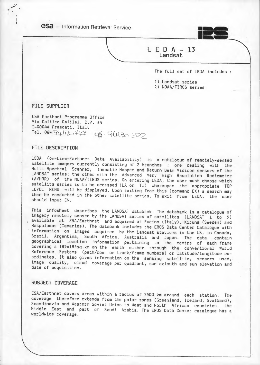**esa** - Information Retrieval Service



### L E D A - 13 Landsat

The full set of LEDA includes :

l) Landsat series

2) NOAA/TIROS series

FILE SUPPLIER

ESA Earthnet Programme Office Via Galileo Galilei, C.P. 64 I-00044 Frascati, Italy  $Tel. 06-9418+77$   $-6.9418-392$ 

### FILE DESCRIPTION

LEDA (on-Line-Earthnet Data Availability) is a catalogue of remotely-sensed satellite imagery currently consisting of 2 branches : one dealing with the Multi-Spectral Scanner, Thematic Mapper and Return Beam Vidicon sensors of the LANDSAT series; the other with the Advanced Very High Resolution Radiometer (AVHRR) of the NOAA/TIROS series. On entering LEDA, the user must choose which satellite series is to be accessed (LA or TI) whereupon the appropriate TOP LEVEL MENU will be displayed. Upon exiting from this (command EX) a search may then be conducted in the other satellite series. To exit from LEDA, the user should input EN.

This infosheet describes the LANDSAT databank. The databank is a catalogue of imagery remotely sensed by the LANDSAT series of satellites (LANDSAT l to 5) available at ESA/Earthnet and acquired at Fucino (Italy), Kiruna (Sweden) and Maspalomas (Canaries). The databank includes the EROS Data Center Catalogue with information on images acquired by the Landsat stations in the US, in Canada, Brazil, Argentina, South Africa, Australia and Japan. The data contain geographical location information pertaining to the centre of each frame covering a 185xl85sq.km on the earth either through the conventional World Reference Systems (path/row or track/frame numbers) or latitude/longitude coordinates. It also gives information on the sensing satellite, sensors used, image quality, cloud coverage per quadrant, sun azimuth and sun elevation and date of acquisition.

### SUBJECT COVERAGE

ESA/Earthnet covers areas within a radius of 2500 km around each station. The coverage therefore extends from the polar zones (Greenland, Iceland, Svalbard), Scandinavia and Western Soviet Union to West and North African countries, the Middle East and part of Saudi Arabia. The EROS Data Center catalogue has a worldwide coverage.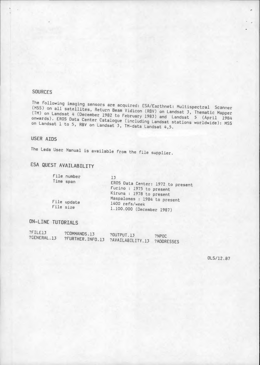### SOURCES

The following imaging sensors are acquired: ESA/Earthnet: Multispectral Scanner (MSS) on all satellites, Return Beam Vidicon (RSV) on Landsat 3, Thematic Mapper (TM) on Landsat 4 (December 1982 to February 1983) and Landsat 5 (April 1984 onwards). EROS Data Center Catalogue (including Landsat stations worldwide): MSS on Landsat l to 5, RBV on Landsat 3, TM-data Landsat 4,5.

### USER AIDS

The Leda User Manual is available from the file supplier.

# ESA QUEST AVAILABILITY

| File number | 13                                             |
|-------------|------------------------------------------------|
| Time span   | EROS Data Center: 1972 to present              |
|             | Fucino : 1975 to present                       |
|             | Kiruna : 1978 to present                       |
| File update | Maspalomas : 1984 to present<br>1400 refs/week |
| File size   | 1.100.000 (December 1987)                      |

### ON-LINE TUTORIALS

| 211E13      | ?COMMANDS.13     | <b>?OUTPUT.13</b>              | ?NPOC |
|-------------|------------------|--------------------------------|-------|
| ?GENERAL.13 | ?FURTHER.INFO.13 | -> ?AVAILABILITY.13 ?ADDRESSES |       |
|             |                  |                                |       |

OLS/12.87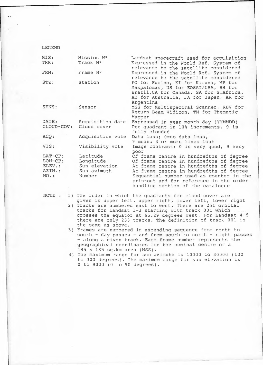#### LEGEND

| MIS:                                                        | Mission Nº                                                      | Landsat spacecraft used for acquisition                                                                                                                                                                                                                                                              |
|-------------------------------------------------------------|-----------------------------------------------------------------|------------------------------------------------------------------------------------------------------------------------------------------------------------------------------------------------------------------------------------------------------------------------------------------------------|
| TRK:                                                        | Track N°                                                        | Expressed in the World Ref. System of<br>relevance to the satellite considered                                                                                                                                                                                                                       |
| FRM:                                                        | Frame N°                                                        | Expressed in the World Ref. System of<br>relevance to the satellite considered                                                                                                                                                                                                                       |
| $STZ$ :                                                     | Station                                                         | FO for Fucino, KI for Kiruna, MP for<br>Maspalomas, US for EOSAT/USA, BR for<br>Brazil, CA for Canada, SA for S. Africa,<br>AU for Australia, JA for Japan, AR for<br>Argentina                                                                                                                      |
| SENS:                                                       | Sensor                                                          | MSS for Multispectral Scanner, RBV for<br>Return Beam Vidicon, TM for Thematic<br>Mapper                                                                                                                                                                                                             |
| DATE:<br>CLOUD-COV:                                         | Acquisition date<br>Cloud cover                                 | Expressed in year month day (YYMMDD)<br>Per quadrant in 10% increments. 9 is<br>fully clouded                                                                                                                                                                                                        |
| ACQ:                                                        | Acquisition vote                                                | Data loss; 0=no data loss,<br>9 means 3 or more lines lost                                                                                                                                                                                                                                           |
| VIS:                                                        | Visibility vote                                                 | Image contrast; 0 is very good, 9 very<br>poor                                                                                                                                                                                                                                                       |
| LAT-CF:<br>LON-CF:<br>ELEV.:<br>AZIM.:<br>NO.:<br>$\lambda$ | Latitude<br>Longitude<br>Sun elevation<br>Sun azimuth<br>Number | Of frame centre in hundredths of degree<br>Of frame centre in hundredths of degree<br>At frame centre in hundredths of degree<br>At frame centre in hundredths of degree<br>Sequential number used as counter in the<br>printout and for reference in the order<br>handling section of the catalogue |

l) The order in which the quadrants for cloud cover are given *is* upper left, upper right, lower left, lower right NOTE :

- 2) Tracks are numbered east to west. There are 251 orbital tracks for Landsat 1-3 starting with track 001 which crosses the equator at 65.29 degrees west. For Landsat 4-5 there are only 233 tracks. The definition of track 001 is the same as above.
- 3) Frames are numbered in ascending sequence from north to south - day passes - and from south to north - night passes - along a given track. Each frame number represents the geographical coordinates for the nominal centre of a 185 x 185 sq.km area (MSS).
- 4) The maximum range for sun azimuth is 10000 to 30000 (100 to 300 degrees). The maximum range for sun elevation is 0 to 9000 (0 to 90 degrees}.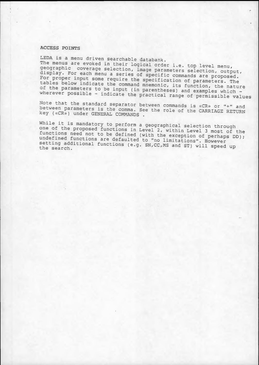### ACCESS POINTS

LEDA *is* a menu driven searchable databank. The menus are evoked *in* their logical order i.e. top level menu, geographic coverage selection, image parameters selection, output, display. For each menu a series of specific commands are proposed. For proper input some require the specification of parameters. The tables below indicate the command mnemonic, its function, the nature of the parameters to be input (in parentheses) and examples which wherever possible - indicate the practical range of permissible values

Note that the standard separator between commands is «CR» or "+" and between parameters is the comma. See the role of the CARRIAGE RETURN key («CR») under GENERAL COMMANDS .

While it *is* mandatory to perform a geographical selection through one of the proposed functions in Level 2, within Level 3 most of the functions need not to be defined (with the exception of perhaps DD); undefined functions are defaulted to "no limitations". However setting additional functions (e.g. SN, CC, MS and ST) will speed up the search.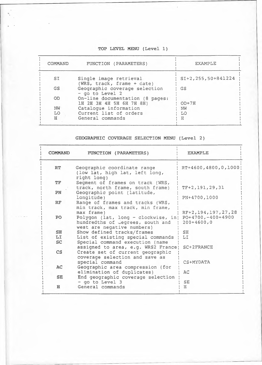## TOP LEVEL MENU (Level 1)

| COMMAND   | FUNCTION (PARAMETERS)                                       | <b>EXAMPLE</b>       |
|-----------|-------------------------------------------------------------|----------------------|
| SI        | Single image retrieval<br>(WRS, track, frame + date)        | SI+2, 255, 50+841224 |
| <b>GS</b> | Geographic coverage selection<br>- go to Level 2            | GS                   |
| <b>OD</b> | On-line documentation (8 pages:<br>1H 2H 3H 4H 5H 6H 7H 8H) | $OD+7H$              |
| NW        | Cataloque information                                       | NW                   |
| LO        | Current list of orders                                      | LO                   |
| H         | General commands                                            | Ħ                    |

### GEOGRAPHIC COVERAGE SELECTION MENU (Level 2}

| <b>COMMAND</b> | FUNCTION (PARAMETERS)                                                        | <b>EXAMPLE</b>                       |
|----------------|------------------------------------------------------------------------------|--------------------------------------|
| RT             | Geographic coordinate range<br>(low lat, high lat, left long,<br>right long) | RT+4600,4800,0,1000                  |
| <b>TF</b>      | Segment of frames on track (WRS,                                             |                                      |
| PN             | track, north frame, south frame)<br>Geographic point (latitude,              | $TF+2, 191, 29, 31$                  |
|                | longitude)                                                                   | PN+4700,1000                         |
| <b>RF</b>      | Range of frames and tracks (WRS,<br>min track, max track, min frame,         |                                      |
|                | max frame)                                                                   | RF+2, 194, 197, 27, 28               |
| PO.            | Polygon (lat, long - clockwise, in)<br>hundredths of degrees, south and      | $PO+4700, -400+4900$<br>$200+4600,0$ |
|                | west are negative numbers)                                                   |                                      |
| SE<br>LI       | Show defined tracks/frames<br>List of existing special commands              | <b>SH</b><br>LI                      |
| <b>SC</b>      | Special command execution (name                                              |                                      |
|                | assigned to area, e.g. WRS2 France;                                          | SC+2FRANCE                           |
| $\mathsf{CS}$  | Create set of current geographic<br>coverage selection and save as           |                                      |
|                | special command                                                              | CS+MYDATA                            |
| AC             | Geographic area compression (for<br>elimination of duplicates)               | AC                                   |
| SE.            | End geographic coverage selection                                            |                                      |
|                | - go to Level 3                                                              | SE                                   |
| H              | General commands                                                             | H                                    |
|                |                                                                              |                                      |

-----------------~ ---------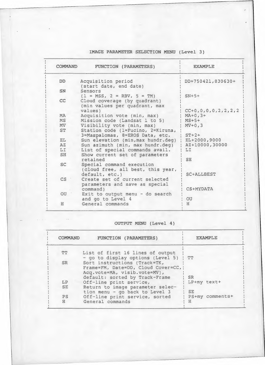### IMAGE PARAMETER SELECTION MENU (Level 3)

| <b>COMMAND</b>  | FUNCTION (PARAMETERS)                                                                         | <b>EXAMPLE</b>              |
|-----------------|-----------------------------------------------------------------------------------------------|-----------------------------|
| <b>DD</b>       | Acquisition period<br>(start date, end date)                                                  | DD+750421,830630+           |
| <b>SN</b>       | Sensors                                                                                       |                             |
| cc              | $(1 = MSS, 2 = RBV, 5 = TM)$<br>Cloud coverage (by quadrant)<br>(min values per quadrant, max | $SN+5+$                     |
| <b>MA</b>       | values)                                                                                       | $CC+0, 0, 0, 0, 2, 2, 2, 2$ |
| <b>MS</b>       | Acquisition vote (min, max)<br>Mission code (Landsat 1 to 5)                                  | $MA + 0, 3 +$<br>$MS+5+$    |
| MV              | Visibility vote (min, max)                                                                    | $MV+0, 3$                   |
| ST              | Station code (1=Fucino, 2=Kiruna,<br>3=Maspalomas, 8=EROS Data, etc.                          | $ST+2+$                     |
| EL              | Sun elevation (min, max hundr.deg)                                                            | $EL+2000,9000$              |
| $\overline{A}Z$ | Sun azimuth (min, max hundr.deg)                                                              | AZ+10000,30000              |
| LI              | List of special commands avail.                                                               | LI                          |
| SH              | Show current set of parameters<br>retained                                                    | SH                          |
| <b>SC</b>       | Special command execution<br>(cloud free, all best, this year,<br>default, etc.)              | <b>SC+ALLBEST</b>           |
| CS '            | Create set of current selected<br>parameters and save as special                              |                             |
|                 | command)                                                                                      | CS+MYDATA                   |
| O <sub>U</sub>  | Exit to output menu - do search<br>and go to Level 4                                          | OU                          |
| H               | General commands                                                                              | H                           |

### OUTPUT MENU (Level 4)

 $\sim$   $\sim$ 

| FUNCTION (PARAMETERS)                                                                                | <b>EXAMPLE</b>                                                                                |
|------------------------------------------------------------------------------------------------------|-----------------------------------------------------------------------------------------------|
| List of first 16 lines of output<br>- go to display options (Level 5)                                | TT                                                                                            |
| Sort instructions (Track=TK,<br>Frame=FM, Date=DD, Cloud Cover=CC, }<br>Acq.vote=MA, visib.vote=MV), |                                                                                               |
|                                                                                                      | SR.                                                                                           |
|                                                                                                      | LP+my text+                                                                                   |
| tion menu - go back to Level 3                                                                       | SE.                                                                                           |
| Off-line print service, sorted<br>General commands                                                   | PS+my comments+<br>Ħ                                                                          |
|                                                                                                      | default: sorted by Track-Frame<br>Off-line print service,<br>Return to image parameter selec- |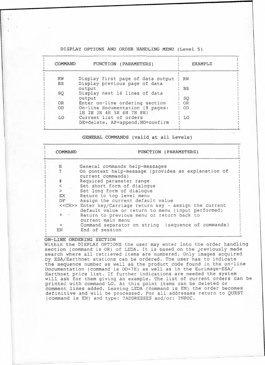### DISPLAY OPTIONS AND ORDER HANDLING MENU (Level 5)

| <b>COMMAND</b> | FUNCTION (PARAMETERS)                                       | <b>EXAMPLE</b> |
|----------------|-------------------------------------------------------------|----------------|
|                |                                                             |                |
| <b>RW</b>      | Display first page of data output                           | RW             |
| <b>BS</b>      | Display previous page of data                               |                |
|                | output                                                      | <b>BS</b>      |
| SQ             | Display next 16 lines of data                               |                |
|                | output                                                      | SQ             |
| OR.            | Enter on-line ordering section                              | <b>OR</b>      |
| <b>OD</b>      | On-line documentation (8 pages:<br>1H 2H 3H 4H 5H 6H 7H 8H) | OD             |
| LO.            | Current list of orders<br>DE=delete, AP=append, NO=confirm  | LO             |

GENERAL COMMANDS (valid at all Levels)

| COMMAND | FUNCTION (PARAMETERS)                                                                                           |  |  |
|---------|-----------------------------------------------------------------------------------------------------------------|--|--|
| н       | General commands help-messages                                                                                  |  |  |
|         | On context help-message (provides an explanation of<br>current commands)                                        |  |  |
| #       | Required parameter range                                                                                        |  |  |
|         | Set short form of dialogue                                                                                      |  |  |
| $\geq$  | Set long form of dialogue                                                                                       |  |  |
| EX      | Return to top level menu                                                                                        |  |  |
| DF      | Assign the current default value                                                                                |  |  |
|         | << CR>> Enter key/Carriage return key - assign the current<br>default value or return to menu (input performed) |  |  |
|         | Return to previous menu or return back to<br>current main menu                                                  |  |  |
| $\pm$   | Command separator on string (sequence of commands)                                                              |  |  |
| EN      | End of session                                                                                                  |  |  |

ON-LINE ORDERING SECTION

Within the DISPLAY OPTIONS the user may enter into the order handling section (command is OR) of LEDA. It is based on the previously made search where all retrieved items are numbered. Only images acquired by ESA/Earthnet stations can be ordered. The user has to indicate the sequence number as well as the product code found in the on-line Documentation (command is OD+7H) as well as in the Eurimage-ESA/ Earthnet price list. If further indications are needed the system will ask for them giving an example. The list of current orders can be printec with command LO. At this point items can be deleted or comment lines added. Leaving LEDA (command is EN) the order becomes definitive and will be processed. For all addresses return to QUEST (command is EN) and type: ?ADDRESSES and/or: ?NPOC.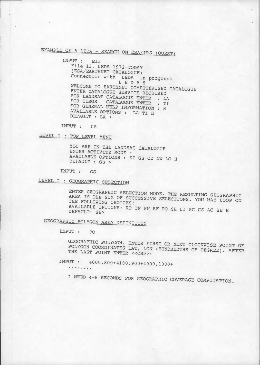# EXAMPLE OF A LEDA - SEARCH ON ESA/IRS (QUEST)

INPUT : Bl3 File 13, LEDA 1972-TODAY (ESA/EARTHNET CATALOGUE} Connection with LEDA in progress L E D A 5 WELCOME TO EARTHNET COMPUTERISED CATALOGUE ENTER CATALOGUE SERVICE REQUIRED FOR LANDSAT CATALOGUE ENTER : LA FOR TIROS CATALOGUE ENTER : TI FOR GENERAL HELP INFORMATION : H AVAILABLE OPTIONS : LA TI H DEFAULT : LA >

INPUT : LA

LEVEL l : TOP LEVEL MENU

YOU ARE IN THE LANDSAT CATALOGUE ENTER ACTIVITY MODE AVAILABLE OPTIONS : SI GS OD NW LO H DEFAULT : GS >

INPUT : GS

LEVEL 2 : GEOGRAPHIC SELECTION

ENTER GEOGRAPHIC SELECTION MODE. THE RESULTING GEOGRAPHIC AREA IS THE SUM OF SUCCESSIVE SELECTIONS. YOU MAY LOOP ON THE FOLLOWING CHOICES: AVAILABLE OPTIONS: RT TF PN RF PO SH LI SC CS AC SE H DEFAULT: SE>

GEOGRAPHIC POLYGON-AREA DEFINITION

INPUT : PO

GEOGRAPHIC POLYGON. ENTER FIRST OR NEXT CLOCKWISE POINT OF POLYGON COORDINATES LAT, LON (HUNDREDTHS OF DEGREE}. AFTER THE LAST POINT ENTER << CR>>:

INPUT : 4000,800+4100,900+4000,1000<br>........

I NEED 4-8 SECONDS FOR GEOGRAPHIC COVERAGE COMPUTATION.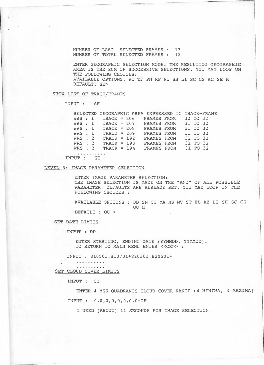NUMBER OF LAST SELECTED FRAMES : 13 NUMBER OF TOTAL SELECTED FRAMES : 13

ENTER GEOGRAPHIC SELECTION MODE. THE RESULTING GEOGRAPHIC AREA IS THE SUM OF SUCCESSIVE SELECTIONS. YOU MAY LOOP ON THE FOLLOWING CHOICES: AVAILABLE OPTIONS: RT TF PN RF PO SH LI SC CS AC SE H DEFAULT: SE>

#### SHOW LIST OF TRACK/FRAMES

------- ·-·-·------------·

INPUT : SH

|           | SELECTED GEOGRAPHIC AREA EXPRESSED IN TRACK-FRAME |                    |                      |          |  |
|-----------|---------------------------------------------------|--------------------|----------------------|----------|--|
|           | $WRS: 1$ TRACK = 206                              |                    | FRAMES FROM 32 TO 32 |          |  |
|           | $WRS: 1$ TRACK = 207                              |                    | FRAMES FROM 31 TO 32 |          |  |
| WRS : 1   | $TRACK = 208$                                     | <b>FRAMES FROM</b> |                      | 31 TO 32 |  |
| WRS : 1   | $TRACK = 209$                                     | FRAMES FROM        |                      | 31 TO 32 |  |
| $WRS$ : 2 | $TRACK = 192$                                     | FRAMES FROM        |                      | 31 TO 32 |  |
| $WRS$ : 2 | $TRACK = 193$                                     | FRAMES FROM        |                      | 31 TO 32 |  |
| $WRS$ : 2 | TRACK = $194$                                     | FRAMES FROM        |                      | 31 TO 32 |  |
|           |                                                   |                    |                      |          |  |

INPUT : SE

### LEVEL 3: IMAGE PARAMETER SELECTION

ENTER IMAGE PARAMETER SELECTION: THE IMAGE SELECTION IS MADE ON THE "AND" OF ALL POSSIBLE PARAMETER; DEFAULTS ARE ALREADY SET. YOU MAY LOOP ON THE FOLLOWING CHOICES :

AVAILABLE OPTIONS : DD SN CC MA MS MV ST EL AZ LI SH SC CS OU H

DEFAULT : OU >

SET DATE LIMITS

INPUT : DD

ENTER STARTING, ENDING DATE (YYMMDD, YYMMDD). TO RETURN TO MAIN MENU ENTER << CR>>:

INPUT : 810501,810701+820301,820501+

. . . . . . . . . SET CLOUD COVER LIMITS

. . . . . . . . . .

INPUT : CC

ENTER 4 MSS QUADRANTS CLOUD COVER RANGE (4 MINIMA, 4 MAXIMA)

INPUT : O,O,O,O,O,O,O,O+DF

I NEED (ABOUT) 11 SECONDS FOR IMAGE SELECTION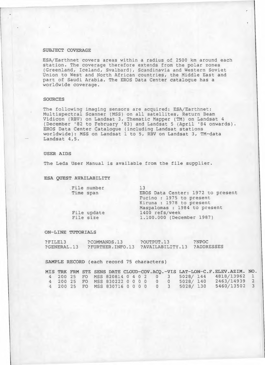### SUBJECT COVERAGE

ESA/Earthnet covers areas within a radius of 2500 km around each station. The coverage therefore extends from the polar zones (Greenland, Iceland, Svalbard), Scandinavia and Western Soviet Union to West and North African countries, the Middle East and part of Saudi Arabia. The EROS Data Center catalogue has a worldwide coverage.

### SOURCES

The following imaging sensors are acquired: ESA/Earthnet: Multispectral Scanner (MSS) on all satellites, Return Beam Vidicon (RBV) on Landsat 3, Thematic Mapper (TM) on Landsat 4 (December '82 to February '83) and Landsat 5 (April '84 onwards). EROS Data Center Catalogue (including Landsat stations worldwide): MSS on Landsat 1 to 5, RBV on Landsat 3, TM-data Landsat 4,5.

#### USER AIDS

The Leda User Manual *is* available from the file supplier.

#### ESA QUEST AVAILABILITY

|           | File number | 13                                |
|-----------|-------------|-----------------------------------|
| Time span |             | EROS Data Center: 1972 to present |
|           |             | Fucino: 1975 to present           |
|           |             | Kiruna : 1978 to present          |
|           |             | Maspalomas : 1984 to present      |
|           | File update | 1400 refs/week                    |
|           | File size   | 1.100.000 (December 1987)         |
|           |             |                                   |

#### ON-LINE TUTORIALS

| ?FILE13     | ?COMMANDS.13     | ?OUTPUT.13       | ?NPOC             |
|-------------|------------------|------------------|-------------------|
| ?GENERAL.13 | ?FURTHER.INFO.13 | ?AVAILABILITY.13 | <b>?ADDRESSES</b> |

#### SAMPLE RECORD (each record 75 characters)

|  |  |                                             |  |  |  |  | MIS TRK FRM STZ SENS DATE CLOUD-COV.ACQ.-VIS LAT-LON-C.F.ELEV.AZIM. NO. |  |
|--|--|---------------------------------------------|--|--|--|--|-------------------------------------------------------------------------|--|
|  |  |                                             |  |  |  |  | 4 200 25 FO MSS 820814 0 4 0 2 0 3 5028/144 4818/13962 1                |  |
|  |  | 4 200 25 FO MSS 830222 0 0 0 0 0 0 5028/140 |  |  |  |  | 2463/14939 2                                                            |  |
|  |  |                                             |  |  |  |  | 4 200 25 FO MSS 830716 0 0 0 0 0 3 5028/130 5460/13502 3                |  |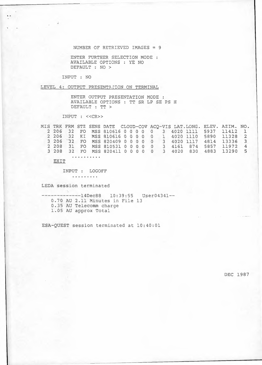NUMBER OF RETRIEVED IMAGES = 9

ENTER FURTHER SELECTION MODE AVAILABLE OPTIONS : YE NO DEFAULT : NO >

INPUT : NO

LEVEL 4: OUTPUT PRESENTATION ON TERMINAL

ENTER OUTPUT PRESENTATION MODE AVAILABLE OPTIONS : TT SR LP SE PS H DEFAULT : TT >

INPUT : <<CR>>

MIS TRK FRM STZ SENS DATE CLOUD-CCV ACQ-VIS LAT.LONG. ELEV. AZIM. NO. 2 206 32 FO MSS 810616 0 0 0 0 0 3 4020 1111 5937 11412 1 <sup>2</sup> <sup>206</sup> <sup>32</sup> KI MSS <sup>810616</sup> <sup>0</sup> <sup>0</sup> <sup>0</sup> <sup>0</sup> <sup>0</sup> 1 <sup>4020</sup> <sup>1110</sup> <sup>5890</sup> <sup>11328</sup> <sup>2</sup> 3 206 32 FO MSS 820409 0 0 0 0 0 3 4020 1117 4814 13336 3 2 208 31 FO MSS 810531 0 0 0 0 0 3 4161 874 5857 11972 4 3 208 32 FO MSS 820411 0 0 0 0 0 3 4020 830 4883 13290 5

EXIT

INPUT : LOGOFF

. . . . . . . . .

LEDA session terminated

**CONTRACTOR** 

--------------14Dec88 10:39:55 User04341--0.70 AU 2.11 Minutes in File 13 0.35 AU Telecomm charge 1.05 AU approx Total

ESA-QUEST session terminated at 10:40:01

DEC 1987